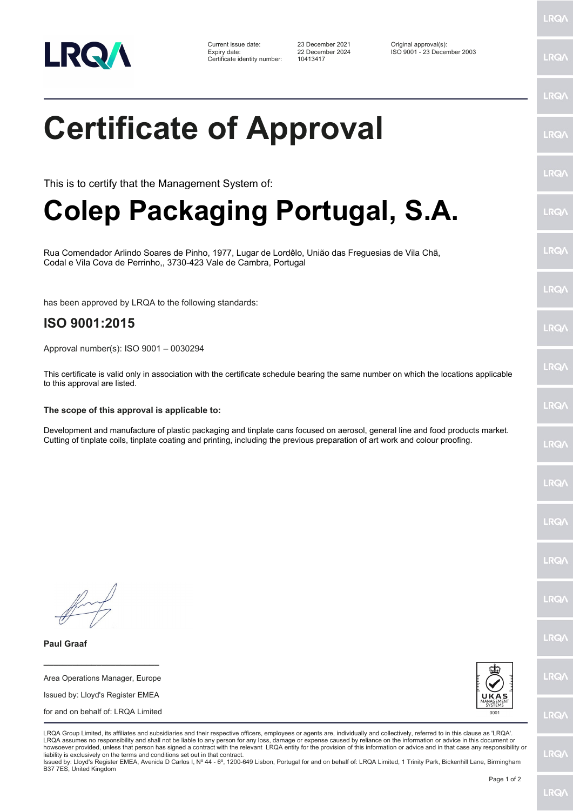

Certificate identity number: 10413417

Current issue date: 23 December 2021 Original approval(s): Expiry date: 22 December 2024 ISO 9001 - 23 December 2003

LRQ/

LRQ/

## LRQ/ **Certificate of Approval** LRQ/ LRQ/ This is to certify that the Management System of: **Colep Packaging Portugal, S.A.** LRQ/ LRQ/ Rua Comendador Arlindo Soares de Pinho, 1977, Lugar de Lordêlo, União das Freguesias de Vila Chã, Codal e Vila Cova de Perrinho,, 3730-423 Vale de Cambra, Portugal LRQ/ has been approved by LRQA to the following standards: **ISO 9001:2015 LRQA** Approval number(s): ISO 9001 – 0030294 **IRQ** This certificate is valid only in association with the certificate schedule bearing the same number on which the locations applicable to this approval are listed. LRQ/ **The scope of this approval is applicable to:** Development and manufacture of plastic packaging and tinplate cans focused on aerosol, general line and food products market. Cutting of tinplate coils, tinplate coating and printing, including the previous preparation of art work and colour proofing.LRQ/ LRQ/ LRQ/ **IRQ LRO/** LRQ/ **Paul Graaf \_\_\_\_\_\_\_\_\_\_\_\_\_\_\_\_\_\_\_\_\_\_\_\_** LRQ/ Area Operations Manager, Europe Issued by: Lloyd's Register EMEA for and on behalf of: LRQA Limited **LRQ/** LRQA Group Limited, its affiliates and subsidiaries and their respective officers, employees or agents are, individually and collectively, referred to in this clause as 'LRQA'. LRQA assumes no responsibility and shall not be liable to any person for any loss, damage or expense caused by reliance on the information or advice in this document or howsoever provided, unless that person has signed a contract with the relevant LRQA entity for the provision of this information or advice and in that case any responsibility or LRQ/ liability is exclusively on the terms and conditions set out in that contract. Issued by: Lloyd's Register EMEA, Avenida D Carlos I, Nº 44 - 6º, 1200-649 Lisbon, Portugal for and on behalf of: LRQA Limited, 1 Trinity Park, Bickenhill Lane, Birmingham B37 7ES, United Kingdom

Page 1 of 2

**LRQ/**